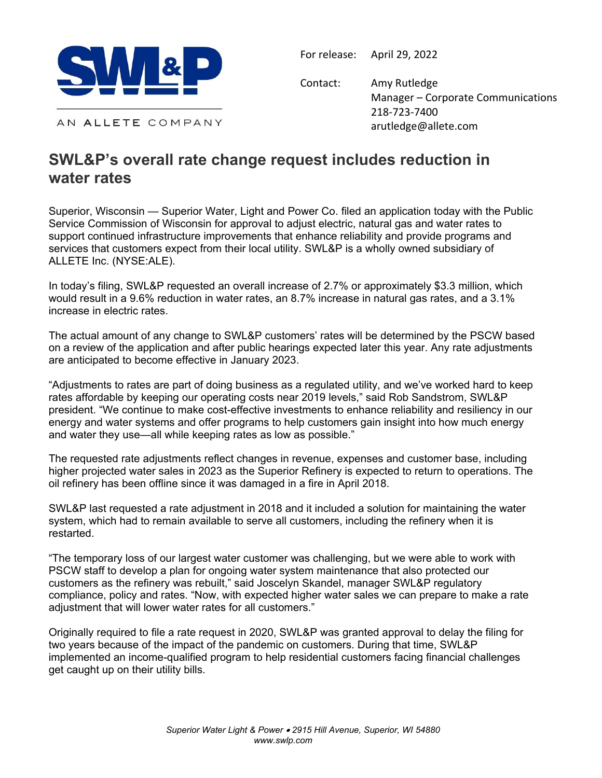

For release: April 29, 2022

Contact: Amy Rutledge Manager – Corporate Communications 218‐723‐7400 arutledge@allete.com

AN ALLETE COMPANY

## **SWL&P's overall rate change request includes reduction in water rates**

Superior, Wisconsin — Superior Water, Light and Power Co. filed an application today with the Public Service Commission of Wisconsin for approval to adjust electric, natural gas and water rates to support continued infrastructure improvements that enhance reliability and provide programs and services that customers expect from their local utility. SWL&P is a wholly owned subsidiary of ALLETE Inc. (NYSE:ALE).

In today's filing, SWL&P requested an overall increase of 2.7% or approximately \$3.3 million, which would result in a 9.6% reduction in water rates, an 8.7% increase in natural gas rates, and a 3.1% increase in electric rates.

The actual amount of any change to SWL&P customers' rates will be determined by the PSCW based on a review of the application and after public hearings expected later this year. Any rate adjustments are anticipated to become effective in January 2023.

"Adjustments to rates are part of doing business as a regulated utility, and we've worked hard to keep rates affordable by keeping our operating costs near 2019 levels," said Rob Sandstrom, SWL&P president. "We continue to make cost-effective investments to enhance reliability and resiliency in our energy and water systems and offer programs to help customers gain insight into how much energy and water they use—all while keeping rates as low as possible."

The requested rate adjustments reflect changes in revenue, expenses and customer base, including higher projected water sales in 2023 as the Superior Refinery is expected to return to operations. The oil refinery has been offline since it was damaged in a fire in April 2018.

SWL&P last requested a rate adjustment in 2018 and it included a solution for maintaining the water system, which had to remain available to serve all customers, including the refinery when it is restarted.

"The temporary loss of our largest water customer was challenging, but we were able to work with PSCW staff to develop a plan for ongoing water system maintenance that also protected our customers as the refinery was rebuilt," said Joscelyn Skandel, manager SWL&P regulatory compliance, policy and rates. "Now, with expected higher water sales we can prepare to make a rate adjustment that will lower water rates for all customers."

Originally required to file a rate request in 2020, SWL&P was granted approval to delay the filing for two years because of the impact of the pandemic on customers. During that time, SWL&P implemented an income-qualified program to help residential customers facing financial challenges get caught up on their utility bills.